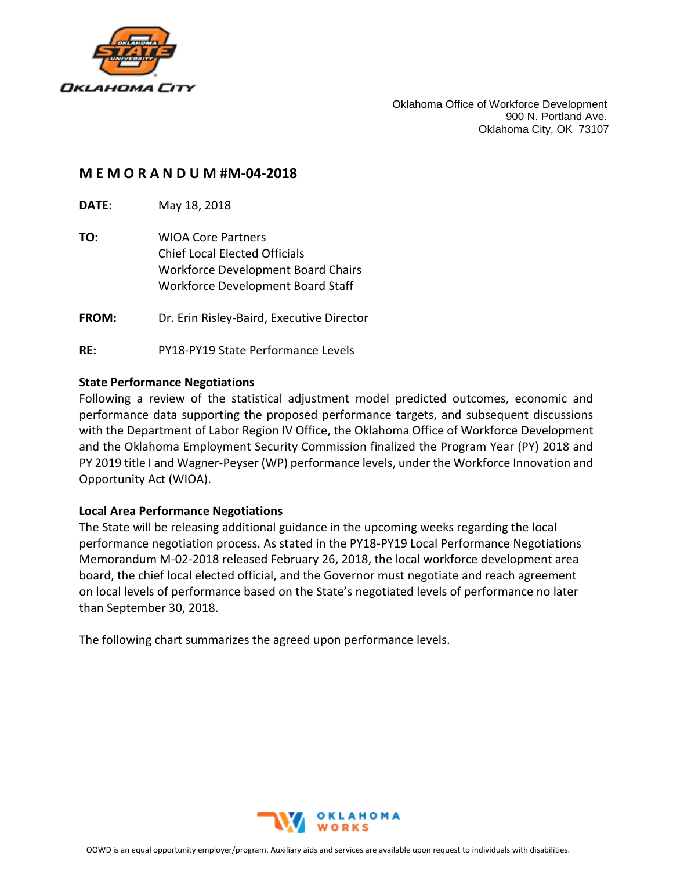

Oklahoma Office of Workforce Development 900 N. Portland Ave. Oklahoma City, OK 73107

## **M E M O R A N D U M #M-04-2018**

**DATE:** May 18, 2018

- **TO:** WIOA Core Partners Chief Local Elected Officials Workforce Development Board Chairs Workforce Development Board Staff
- **FROM:** Dr. Erin Risley-Baird, Executive Director
- **RE:** PY18-PY19 State Performance Levels

## **State Performance Negotiations**

Following a review of the statistical adjustment model predicted outcomes, economic and performance data supporting the proposed performance targets, and subsequent discussions with the Department of Labor Region IV Office, the Oklahoma Office of Workforce Development and the Oklahoma Employment Security Commission finalized the Program Year (PY) 2018 and PY 2019 title I and Wagner-Peyser (WP) performance levels, under the Workforce Innovation and Opportunity Act (WIOA).

## **Local Area Performance Negotiations**

The State will be releasing additional guidance in the upcoming weeks regarding the local performance negotiation process. As stated in the PY18-PY19 Local Performance Negotiations Memorandum M-02-2018 released February 26, 2018, the local workforce development area board, the chief local elected official, and the Governor must negotiate and reach agreement on local levels of performance based on the State's negotiated levels of performance no later than September 30, 2018.

The following chart summarizes the agreed upon performance levels.

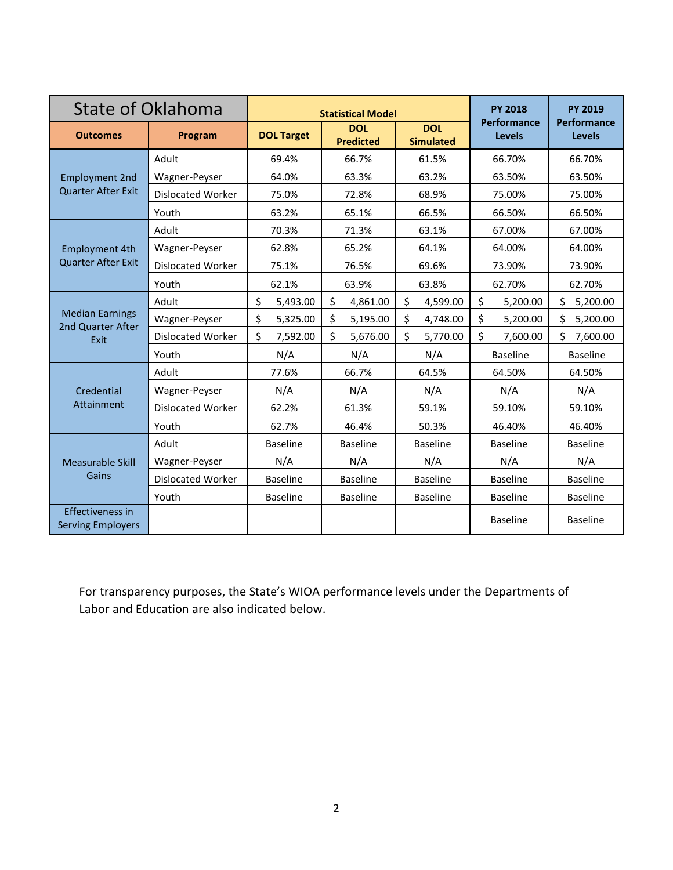| State of Oklahoma                                   |                          | <b>Statistical Model</b> |                                |                                | <b>PY 2018</b>                      | <b>PY 2019</b>                      |
|-----------------------------------------------------|--------------------------|--------------------------|--------------------------------|--------------------------------|-------------------------------------|-------------------------------------|
| <b>Outcomes</b>                                     | Program                  | <b>DOL Target</b>        | <b>DOL</b><br><b>Predicted</b> | <b>DOL</b><br><b>Simulated</b> | <b>Performance</b><br><b>Levels</b> | <b>Performance</b><br><b>Levels</b> |
| <b>Employment 2nd</b><br><b>Quarter After Exit</b>  | Adult                    | 69.4%                    | 66.7%                          | 61.5%                          | 66.70%                              | 66.70%                              |
|                                                     | Wagner-Peyser            | 64.0%                    | 63.3%                          | 63.2%                          | 63.50%                              | 63.50%                              |
|                                                     | <b>Dislocated Worker</b> | 75.0%                    | 72.8%                          | 68.9%                          | 75.00%                              | 75.00%                              |
|                                                     | Youth                    | 63.2%                    | 65.1%                          | 66.5%                          | 66.50%                              | 66.50%                              |
| <b>Employment 4th</b><br><b>Quarter After Exit</b>  | Adult                    | 70.3%                    | 71.3%                          | 63.1%                          | 67.00%                              |                                     |
|                                                     | Wagner-Peyser            | 62.8%                    | 65.2%                          | 64.1%                          | 64.00%                              | 64.00%                              |
|                                                     | <b>Dislocated Worker</b> | 75.1%                    | 76.5%                          | 69.6%                          | 73.90%                              | 73.90%                              |
|                                                     | Youth                    | 62.1%                    | 63.9%                          | 63.8%                          | 62.70%                              | 62.70%                              |
| <b>Median Earnings</b><br>2nd Quarter After<br>Exit | Adult                    | \$<br>5,493.00           | \$<br>4,861.00                 | \$<br>4,599.00                 | \$<br>5,200.00                      | \$<br>5,200.00                      |
|                                                     | Wagner-Peyser            | \$<br>5,325.00           | \$<br>5,195.00                 | \$<br>4,748.00                 | \$<br>5,200.00                      | Ś<br>5,200.00                       |
|                                                     | <b>Dislocated Worker</b> | \$<br>7,592.00           | \$<br>5,676.00                 | \$<br>5,770.00                 | \$<br>7,600.00                      | Ś.<br>7,600.00                      |
|                                                     | Youth                    | N/A                      | N/A                            | N/A                            | <b>Baseline</b>                     | <b>Baseline</b>                     |
| Credential<br><b>Attainment</b>                     | Adult                    | 77.6%                    | 66.7%                          | 64.5%                          | 64.50%                              | 64.50%                              |
|                                                     | Wagner-Peyser            | N/A                      | N/A                            | N/A                            | N/A                                 | N/A                                 |
|                                                     | Dislocated Worker        | 62.2%                    | 61.3%                          | 59.1%                          | 59.10%                              | 59.10%                              |
|                                                     | Youth                    | 62.7%                    | 46.4%                          | 50.3%                          | 46.40%                              | 46.40%                              |
| Measurable Skill<br>Gains                           | Adult                    | <b>Baseline</b>          | <b>Baseline</b>                | <b>Baseline</b>                | <b>Baseline</b>                     | <b>Baseline</b>                     |
|                                                     | Wagner-Peyser            | N/A                      | N/A                            | N/A                            | N/A                                 | N/A                                 |
|                                                     | Dislocated Worker        | <b>Baseline</b>          | <b>Baseline</b>                | <b>Baseline</b>                | <b>Baseline</b>                     | <b>Baseline</b>                     |
|                                                     | Youth                    | <b>Baseline</b>          | <b>Baseline</b>                | <b>Baseline</b>                | <b>Baseline</b>                     | <b>Baseline</b>                     |
| <b>Effectiveness in</b><br><b>Serving Employers</b> |                          |                          |                                |                                | <b>Baseline</b>                     | <b>Baseline</b>                     |

For transparency purposes, the State's WIOA performance levels under the Departments of Labor and Education are also indicated below.